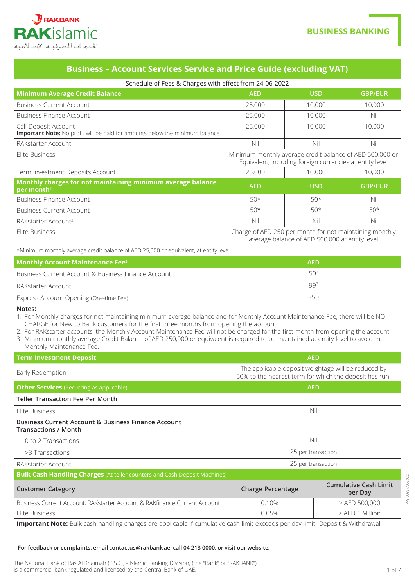

# **Business - Account Services Service and Price Guide (excluding VAT)**

| Schedule of Fees & Charges with effect from 24-06-2022                                               |                                                                                                                      |                                                                                                           |                |
|------------------------------------------------------------------------------------------------------|----------------------------------------------------------------------------------------------------------------------|-----------------------------------------------------------------------------------------------------------|----------------|
| <b>Minimum Average Credit Balance</b>                                                                | <b>AED</b>                                                                                                           | <b>USD</b>                                                                                                | <b>GBP/EUR</b> |
| <b>Business Current Account</b>                                                                      | 25,000                                                                                                               | 10,000                                                                                                    | 10,000         |
| <b>Business Finance Account</b>                                                                      | 25,000                                                                                                               | 10,000                                                                                                    | Nil            |
| Call Deposit Account<br>Important Note: No profit will be paid for amounts below the minimum balance | 25,000                                                                                                               | 10,000                                                                                                    | 10,000         |
| RAKstarter Account                                                                                   | Nil                                                                                                                  | Nil                                                                                                       | Nil            |
| Elite Business                                                                                       | Minimum monthly average credit balance of AED 500,000 or<br>Equivalent, including foreign currencies at entity level |                                                                                                           |                |
| Term Investment Deposits Account                                                                     | 25,000                                                                                                               | 10,000                                                                                                    | 10,000         |
| Monthly charges for not maintaining minimum average balance<br>per month <sup>1</sup>                | <b>AED</b>                                                                                                           | <b>USD</b>                                                                                                | <b>GBP/EUR</b> |
| Business Finance Account                                                                             | $50*$                                                                                                                | $50*$                                                                                                     | Nil            |
| <b>Business Current Account</b>                                                                      | $50*$                                                                                                                | $50*$                                                                                                     | $50*$          |
| RAKstarter Account <sup>2</sup>                                                                      | Nil                                                                                                                  | Nil                                                                                                       | Nil            |
| Elite Business                                                                                       |                                                                                                                      | Charge of AED 250 per month for not maintaining monthly<br>average balance of AED 500,000 at entity level |                |

\*Minimum monthly average credit balance of AED 25,000 or equivalent, at entity level.

| <b>Monthly Account Maintenance Fee</b> <sup>3</sup> | <b>AED</b>      |
|-----------------------------------------------------|-----------------|
| Business Current Account & Business Finance Account | 50 <sup>3</sup> |
| RAKstarter Account                                  | 993             |
| Express Account Opening (One-time Fee)              | 250             |

**:Notes**

1. For Monthly charges for not maintaining minimum average balance and for Monthly Account Maintenance Fee, there will be NO CHARGE for New to Bank customers for the first three months from opening the account.

- 2. For RAKstarter accounts, the Monthly Account Maintenance Fee will not be charged for the first month from opening the account.
- 3. Minimum monthly average Credit Balance of AED 250,000 or equivalent is required to be maintained at entity level to avoid the Monthly Maintenance Fee.
- **AED Deposit Investment Deposit Internal Construction Construction Construction Construction Construction** The applicable deposit weightage will be reduced by Early Redemption 50% to the nearest term for which the deposit has run. **AED ALL ACCOUNTING ACCOUNTING ACCOUNT ACCOUNT ACCOUNT ACCOUNT ACCOUNT ACCOUNT ACCOUNT ACCOUNT ACCOUNT ACCOUNT ACCOUNT ACCOUNT ACCOUNT ACCOUNT ACCOUNT ACCOUNT ACCOUNT ACCOUNT ACCOUNT ACCOUNT ACCOUNT ACCOUNT ACCOUNT ACCOU Teller Transaction Fee Per Month** is the surface of the second second second second second second second second second second second second second second second second second second second second second second second second second second second second seco **Business Current Account & Business Finance Account Transactions / Month**  $\overline{a}$  or  $\overline{a}$  to 2 Transactions  $\overline{a}$  is a total contract of  $\overline{a}$  and  $\overline{a}$  and  $\overline{a}$  and  $\overline{a}$  and  $\overline{a}$  and  $\overline{a}$  and  $\overline{a}$  and  $\overline{a}$  and  $\overline{a}$  and  $\overline{a}$  and  $\overline{a}$  and  $\overline{a}$ transactions and the set of the set of the set of the set of the set of the set of the set of the set of the set of the set of the set of the set of the set of the set of the set of the set of the set of the set of the set transaction per 25 per transaction per 25 per transaction per 25 per transaction per 25 per transaction **Bulk Cash Handling Charges** (At teller counters and Cash Deposit Machines) **Cumulative Cash Limit Percentage Category Customer Category Customer** Category Customer Category Customer Category Customers Customer per Day Business Current Account, RAKstarter Account & RAKfinance Current Account | 0.10% | > AED 500,000 Million 1 AED 1 Million 1 AED 1 Million 1 AED 1 Million 1 AED 1 AED 1 Million 1 AED 1 AED 1 Million

Important Note: Bulk cash handling charges are applicable if cumulative cash limit exceeds per day limit- Deposit & Withdrawal

#### *for feedback or complaints, email contactus@rakbank.ae, call 04 213 0000, or visit our website.*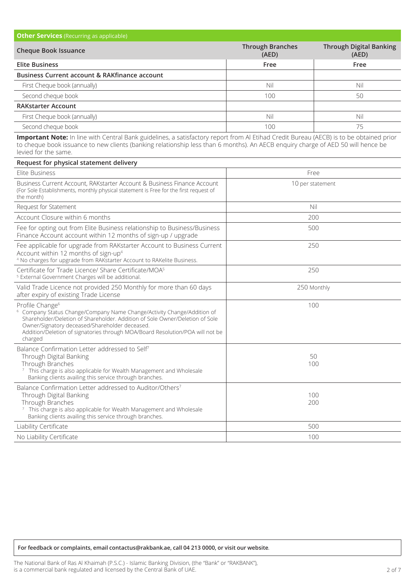| <b>Other Services</b> (Recurring as applicable)          |                                  |                                         |
|----------------------------------------------------------|----------------------------------|-----------------------------------------|
| <b>Cheque Book Issuance</b>                              | <b>Through Branches</b><br>(AED) | <b>Through Digital Banking</b><br>(AED) |
| <b>Elite Business</b>                                    | Free                             | Free                                    |
| <b>Business Current account &amp; RAKfinance account</b> |                                  |                                         |
| First Cheque book (annually)                             | Nil                              | Nil                                     |
| Second cheque book                                       | 100                              | 50                                      |
| <b>RAKstarter Account</b>                                |                                  |                                         |
| First Cheque book (annually)                             | Nil                              | Nil                                     |
| Second cheque book                                       | 100                              | 75                                      |

Important Note: In line with Central Bank guidelines, a satisfactory report from Al Etihad Credit Bureau (AECB) is to be obtained prior to cheque book issuance to new clients (banking relationship less than 6 months). An AECB enquiry charge of AED 50 will hence be levied for the same.

| Request for physical statement delivery                                                                                                                                                                                                                                                                                                         |                  |
|-------------------------------------------------------------------------------------------------------------------------------------------------------------------------------------------------------------------------------------------------------------------------------------------------------------------------------------------------|------------------|
| Elite Business                                                                                                                                                                                                                                                                                                                                  | Free             |
| Business Current Account, RAKstarter Account & Business Finance Account<br>(For Sole Establishments, monthly physical statement is Free for the first request of<br>the month)                                                                                                                                                                  | 10 per statement |
| Request for Statement                                                                                                                                                                                                                                                                                                                           | Nil              |
| Account Closure within 6 months                                                                                                                                                                                                                                                                                                                 | 200              |
| Fee for opting out from Elite Business relationship to Business/Business<br>Finance Account account within 12 months of sign-up / upgrade                                                                                                                                                                                                       | 500              |
| Fee applicable for upgrade from RAKstarter Account to Business Current<br>Account within 12 months of sign-up <sup>4</sup><br><sup>4</sup> No charges for upgrade from RAKstarter Account to RAKelite Business.                                                                                                                                 | 250              |
| Certificate for Trade Licence/ Share Certificate/MOA <sup>5</sup><br><sup>5</sup> External Government Charges will be additional.                                                                                                                                                                                                               | 250              |
| Valid Trade Licence not provided 250 Monthly for more than 60 days<br>after expiry of existing Trade License                                                                                                                                                                                                                                    | 250 Monthly      |
| Profile Change <sup>6</sup><br><sup>6</sup> Company Status Change/Company Name Change/Activity Change/Addition of<br>Shareholder/Deletion of Shareholder. Addition of Sole Owner/Deletion of Sole<br>Owner/Signatory deceased/Shareholder deceased.<br>Addition/Deletion of signatories through MOA/Board Resolution/POA will not be<br>charged | 100              |
| Balance Confirmation Letter addressed to Self <sup>7</sup><br>Through Digital Banking<br>Through Branches<br><sup>7</sup> This charge is also applicable for Wealth Management and Wholesale<br>Banking clients availing this service through branches.                                                                                         | 50<br>100        |
| Balance Confirmation Letter addressed to Auditor/Others7<br>Through Digital Banking<br>Through Branches<br><sup>7</sup> This charge is also applicable for Wealth Management and Wholesale<br>Banking clients availing this service through branches.                                                                                           | 100<br>200       |
| Liability Certificate                                                                                                                                                                                                                                                                                                                           | 500              |
| No Liability Certificate                                                                                                                                                                                                                                                                                                                        | 100              |

### $For feedback or complaints, email contactsorakbankae, call 04 213 0000, or visit our website.$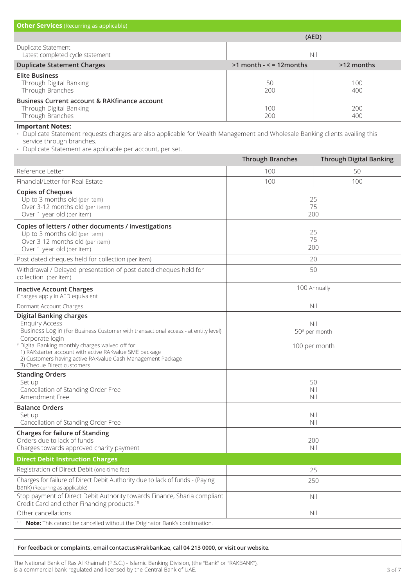| <b>Other Services</b> (Recurring as applicable)                                                                                                                                                                                                    |                            |                                |
|----------------------------------------------------------------------------------------------------------------------------------------------------------------------------------------------------------------------------------------------------|----------------------------|--------------------------------|
|                                                                                                                                                                                                                                                    | (AED)                      |                                |
| Duplicate Statement<br>Latest completed cycle statement                                                                                                                                                                                            | Nil                        |                                |
| <b>Duplicate Statement Charges</b>                                                                                                                                                                                                                 | $>1$ month - < = 12 months | >12 months                     |
| <b>Elite Business</b><br>Through Digital Banking<br>Through Branches                                                                                                                                                                               | 50<br>200                  | 100<br>400                     |
| <b>Business Current account &amp; RAKfinance account</b><br>Through Digital Banking<br>Through Branches                                                                                                                                            | 100<br>200                 | 200<br>400                     |
| <b>Important Notes:</b><br>• Duplicate Statement requests charges are also applicable for Wealth Management and Wholesale Banking clients availing this<br>service through branches.<br>· Duplicate Statement are applicable per account, per set. |                            |                                |
|                                                                                                                                                                                                                                                    | <b>Through Branches</b>    | <b>Through Digital Banking</b> |
| Reference Letter                                                                                                                                                                                                                                   | 100                        | 50                             |
| Financial/Letter for Real Estate                                                                                                                                                                                                                   | 100                        | 100                            |
| <b>Copies of Cheques</b><br>Up to 3 months old (per item)<br>Over 3-12 months old (per item)<br>Over 1 year old (per item)                                                                                                                         | 25<br>75<br>200            |                                |
| Copies of letters / other documents / investigations<br>Up to 3 months old (per item)<br>Over 3-12 months old (per item)<br>Over 1 year old (per item)                                                                                             | 25<br>75<br>200            |                                |
| Post dated cheques held for collection (per item)                                                                                                                                                                                                  | 20                         |                                |
| Withdrawal / Delayed presentation of post dated cheques held for<br>collection (per item)                                                                                                                                                          | 50                         |                                |

| <b>Inactive Account Charges</b><br>Charges apply in AED equivalent                                                                                                                                                                                                                                                                                                                       | 100 Annually                            |
|------------------------------------------------------------------------------------------------------------------------------------------------------------------------------------------------------------------------------------------------------------------------------------------------------------------------------------------------------------------------------------------|-----------------------------------------|
| Dormant Account Charges                                                                                                                                                                                                                                                                                                                                                                  | Nil                                     |
| <b>Digital Banking charges</b><br><b>Enquiry Access</b><br>Business Log in (For Business Customer with transactional access - at entity level)<br>Corporate login<br><sup>9</sup> Digital Banking monthly charges waived off for:<br>1) RAKstarter account with active RAKvalue SME package<br>2) Customers having active RAKvalue Cash Management Package<br>3) Cheque Direct customers | Nil<br>$509$ per month<br>100 per month |
| <b>Standing Orders</b><br>Set up<br>Cancellation of Standing Order Free<br>Amendment Free                                                                                                                                                                                                                                                                                                | 50<br>Nil<br>Nil                        |
| <b>Balance Orders</b><br>Set up<br>Cancellation of Standing Order Free                                                                                                                                                                                                                                                                                                                   | Nil<br>Nil                              |
| <b>Charges for failure of Standing</b><br>Orders due to lack of funds<br>Charges towards approved charity payment                                                                                                                                                                                                                                                                        | 200<br>Nil                              |
| <b>Direct Debit Instruction Charges</b>                                                                                                                                                                                                                                                                                                                                                  |                                         |
| Registration of Direct Debit (one-time fee)                                                                                                                                                                                                                                                                                                                                              | 25                                      |
| Charges for failure of Direct Debit Authority due to lack of funds - (Paying<br>bank) (Recurring as applicable)                                                                                                                                                                                                                                                                          | 250                                     |
| Stop payment of Direct Debit Authority towards Finance, Sharia compliant<br>Credit Card and other Financing products. <sup>10</sup>                                                                                                                                                                                                                                                      | Nil                                     |
| Other cancellations                                                                                                                                                                                                                                                                                                                                                                      | Nil                                     |
| Note: This cannot be cancelled without the Originator Bank's confirmation.                                                                                                                                                                                                                                                                                                               |                                         |

 $For feedback or complaints, email contactserakbankae, call 04 213 0000, or visit our website.$ 

The National Bank of Ras Al Khaimah (P.S.C.) - Islamic Banking Division, (the "Bank" or "RAKBANK"), is a commercial bank regulated and licensed by the Central Bank of UAE.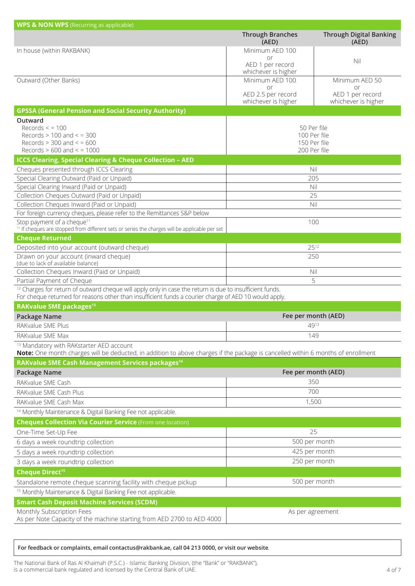| <b>WPS &amp; NON WPS</b> (Recurring as applicable)                                                                                                                                                                           |                                                 |                                               |  |
|------------------------------------------------------------------------------------------------------------------------------------------------------------------------------------------------------------------------------|-------------------------------------------------|-----------------------------------------------|--|
|                                                                                                                                                                                                                              | <b>Through Branches</b><br>(AED)                | <b>Through Digital Banking</b><br>(AED)       |  |
| In house (within RAKBANK)                                                                                                                                                                                                    | Minimum AED 100                                 |                                               |  |
|                                                                                                                                                                                                                              | or<br>AED 1 per record<br>whichever is higher   | Nil                                           |  |
| Outward (Other Banks)                                                                                                                                                                                                        | Minimum AED 100                                 | Minimum AED 50                                |  |
|                                                                                                                                                                                                                              | or<br>AED 2.5 per record<br>whichever is higher | or<br>AED 1 per record<br>whichever is higher |  |
| <b>GPSSA (General Pension and Social Security Authority)</b>                                                                                                                                                                 |                                                 |                                               |  |
| Outward                                                                                                                                                                                                                      |                                                 |                                               |  |
| Records $\le$ = 100<br>Records $> 100$ and $<$ = 300                                                                                                                                                                         |                                                 | 50 Per file<br>100 Per file                   |  |
| Records $> 300$ and $< 600$                                                                                                                                                                                                  |                                                 | 150 Per file                                  |  |
| Records $> 600$ and $< 1000$                                                                                                                                                                                                 |                                                 | 200 Per file                                  |  |
| <b>ICCS Clearing, Special Clearing &amp; Cheque Collection - AED</b>                                                                                                                                                         |                                                 |                                               |  |
| Cheques presented through ICCS Clearing                                                                                                                                                                                      | Nil                                             |                                               |  |
| Special Clearing Outward (Paid or Unpaid)                                                                                                                                                                                    |                                                 | 205                                           |  |
| Special Clearing Inward (Paid or Unpaid)                                                                                                                                                                                     | Nil                                             |                                               |  |
| Collection Cheques Outward (Paid or Unpaid)                                                                                                                                                                                  |                                                 | 25                                            |  |
| Collection Cheques Inward (Paid or Unpaid)                                                                                                                                                                                   |                                                 | Nil                                           |  |
| For foreign currency cheques, please refer to the Remittances S&P below                                                                                                                                                      |                                                 |                                               |  |
| Stop payment of a cheque <sup>11</sup><br><sup>11</sup> If cheques are stopped from different sets or series the charges will be applicable per set                                                                          |                                                 | 100                                           |  |
| <b>Cheque Returned</b>                                                                                                                                                                                                       |                                                 |                                               |  |
| Deposited into your account (outward cheque)                                                                                                                                                                                 |                                                 | 2512                                          |  |
| Drawn on your account (inward cheque)<br>(due to lack of available balance)                                                                                                                                                  | 250                                             |                                               |  |
| Collection Cheques Inward (Paid or Unpaid)                                                                                                                                                                                   | Nil                                             |                                               |  |
| Partial Payment of Cheque                                                                                                                                                                                                    |                                                 | 5                                             |  |
| <sup>12</sup> Charges for return of outward cheque will apply only in case the return is due to insufficient funds.<br>For cheque returned for reasons other than insufficient funds a courier charge of AED 10 would apply. |                                                 |                                               |  |
| RAKvalue SME packages <sup>13</sup>                                                                                                                                                                                          |                                                 |                                               |  |
| Package Name                                                                                                                                                                                                                 |                                                 | Fee per month (AED)                           |  |
| RAKvalue SME Plus                                                                                                                                                                                                            |                                                 | 4913                                          |  |
| RAKvalue SME Max                                                                                                                                                                                                             | 149                                             |                                               |  |
| <sup>13</sup> Mandatory with RAKstarter AED account                                                                                                                                                                          |                                                 |                                               |  |
| Note: One month charges will be deducted, in addition to above charges if the package is cancelled within 6 months of enrollment<br>RAKvalue SME Cash Management Services packages <sup>14</sup>                             |                                                 |                                               |  |
|                                                                                                                                                                                                                              |                                                 |                                               |  |
| Package Name                                                                                                                                                                                                                 |                                                 | Fee per month (AED)                           |  |
| RAKvalue SME Cash                                                                                                                                                                                                            |                                                 | 350                                           |  |
| RAKvalue SME Cash Plus                                                                                                                                                                                                       | 700<br>1,500                                    |                                               |  |
| RAKvalue SME Cash Max                                                                                                                                                                                                        |                                                 |                                               |  |
| <sup>14</sup> Monthly Maintenance & Digital Banking Fee not applicable.                                                                                                                                                      |                                                 |                                               |  |
| <b>Cheques Collection Via Courier Service</b> (From one location)                                                                                                                                                            |                                                 |                                               |  |
| One-Time Set-Up Fee                                                                                                                                                                                                          |                                                 | 25                                            |  |
| 6 days a week roundtrip collection                                                                                                                                                                                           |                                                 | 500 per month                                 |  |
| 5 days a week roundtrip collection                                                                                                                                                                                           | 425 per month                                   |                                               |  |
| 3 days a week roundtrip collection                                                                                                                                                                                           |                                                 | 250 per month                                 |  |
| <b>Cheque Direct<sup>15</sup></b>                                                                                                                                                                                            |                                                 |                                               |  |
| Standalone remote cheque scanning facility with cheque pickup                                                                                                                                                                |                                                 | 500 per month                                 |  |
| <sup>15</sup> Monthly Maintenance & Digital Banking Fee not applicable.                                                                                                                                                      |                                                 |                                               |  |
| <b>Smart Cash Deposit Machine Services (SCDM)</b>                                                                                                                                                                            |                                                 |                                               |  |
| Monthly Subscription Fees                                                                                                                                                                                                    |                                                 | As per agreement                              |  |
| As per Note Capacity of the machine starting from AED 2700 to AED 4000                                                                                                                                                       |                                                 |                                               |  |

#### $For feedback or complaints, email contactsorakbankae, call 04 213 0000, or visit our website.$

The National Bank of Ras Al Khaimah (P.S.C.) - Islamic Banking Division, (the "Bank" or "RAKBANK"), is a commercial bank regulated and licensed by the Central Bank of UAE.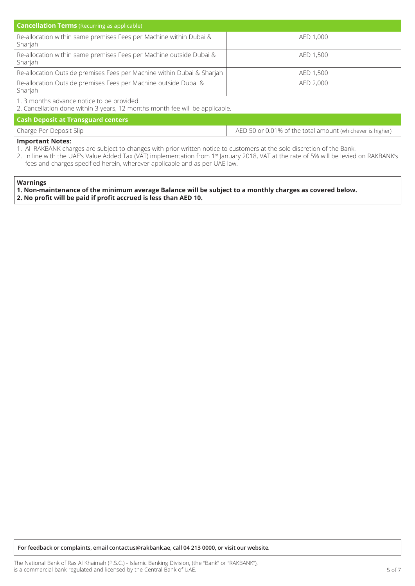| <b>Cancellation Terms</b> (Recurring as applicable)                            |           |  |  |
|--------------------------------------------------------------------------------|-----------|--|--|
| Re-allocation within same premises Fees per Machine within Dubai &<br>Sharjah  | AED 1,000 |  |  |
| Re-allocation within same premises Fees per Machine outside Dubai &<br>Sharjah | AED 1,500 |  |  |
| Re-allocation Outside premises Fees per Machine within Dubai & Sharjah         | AED 1,500 |  |  |
| Re-allocation Outside premises Fees per Machine outside Dubai &<br>Sharjah     | AED 2,000 |  |  |

1. 3 months advance notice to be provided.

2. Cancellation done within 3 years, 12 months month fee will be applicable.

**Cash Deposit at Transguard centers** 

| Charge Per Deposit Slip | AED 50 or 0.01% of the total amount (whichever is higher) |
|-------------------------|-----------------------------------------------------------|
|                         |                                                           |

#### **Important Notes:**

- 1. All RAKBANK charges are subject to changes with prior written notice to customers at the sole discretion of the Bank.
- 2. In line with the UAE's Value Added Tax (VAT) implementation from 1st January 2018, VAT at the rate of 5% will be levied on RAKBANK's fees and charges specified herein, wherever applicable and as per UAE law.

#### **Warnings**

1. Non-maintenance of the minimum average Balance will be subject to a monthly charges as covered below. **2. No profit will be paid if profit accrued is less than AED 10.** 

 $For feedback or complaints, email contactserakbankae, call 04 213 0000, or visit our website.$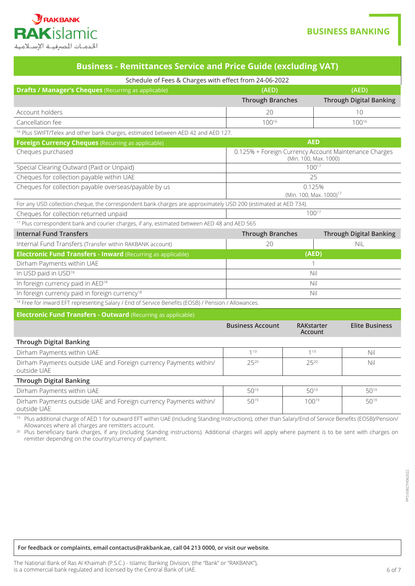

## **BUSINESS BANKING**

|  |  | <b>Business - Remittances Service and Price Guide (excluding VAT)</b> |
|--|--|-----------------------------------------------------------------------|
|  |  |                                                                       |

| Schedule of Fees & Charges with effect from 24-06-2022                                                          |                         |                                               |                                                       |  |
|-----------------------------------------------------------------------------------------------------------------|-------------------------|-----------------------------------------------|-------------------------------------------------------|--|
| <b>Drafts / Manager's Cheques</b> (Recurring as applicable)                                                     | (AED)                   |                                               | (AED)                                                 |  |
|                                                                                                                 | <b>Through Branches</b> |                                               | <b>Through Digital Banking</b>                        |  |
| Account holders                                                                                                 | 20                      |                                               | 10                                                    |  |
| Cancellation fee                                                                                                | 10016                   |                                               | $100^{16}$                                            |  |
| <sup>16</sup> Plus SWIFT/Telex and other bank charges, estimated between AED 42 and AED 127.                    |                         |                                               |                                                       |  |
| Foreign Currency Cheques (Recurring as applicable)                                                              |                         | <b>AED</b>                                    |                                                       |  |
| Cheques purchased                                                                                               |                         | (Min. 100, Max. 1000)                         | 0.125% + Foreign Currency Account Maintenance Charges |  |
| Special Clearing Outward (Paid or Unpaid)                                                                       |                         | $100^{17}$                                    |                                                       |  |
| Cheques for collection payable within UAE                                                                       |                         | 25                                            |                                                       |  |
| Cheques for collection payable overseas/payable by us                                                           |                         | 0.125%<br>(Min. 100, Max. 1000) <sup>17</sup> |                                                       |  |
| For any USD collection cheque, the correspondent bank charges are approximately USD 200 (estimated at AED 734). |                         |                                               |                                                       |  |
| Cheques for collection returned unpaid                                                                          |                         | $100^{17}$                                    |                                                       |  |
| <sup>17</sup> Plus correspondent bank and courier charges, if any, estimated between AED 48 and AED 565         |                         |                                               |                                                       |  |
| <b>Internal Fund Transfers</b>                                                                                  | <b>Through Branches</b> |                                               | <b>Through Digital Banking</b>                        |  |
| Internal Fund Transfers (Transfer within RAKBANK account)                                                       | 20                      |                                               | NiL                                                   |  |
| <b>Electronic Fund Transfers - Inward (Recurring as applicable)</b>                                             |                         | (AED)                                         |                                                       |  |
| Dirham Payments within UAE                                                                                      |                         |                                               |                                                       |  |
| In USD paid in USD <sup>18</sup>                                                                                | Nil                     |                                               |                                                       |  |
| In foreign currency paid in AED <sup>18</sup>                                                                   | Nil                     |                                               |                                                       |  |
| In foreign currency paid in foreign currency <sup>18</sup>                                                      |                         | Nil                                           |                                                       |  |
| <sup>18</sup> Free for inward EFT representing Salary / End of Service Benefits (EOSB) / Pension / Allowances.  |                         |                                               |                                                       |  |
| <b>Electronic Fund Transfers - Outward (Recurring as applicable)</b>                                            |                         |                                               |                                                       |  |
|                                                                                                                 | <b>Business Account</b> | RAKstarter<br>Account                         | <b>Elite Business</b>                                 |  |
| <b>Through Digital Banking</b>                                                                                  |                         |                                               |                                                       |  |
| Dirham Payments within UAE                                                                                      | 1 <sup>19</sup>         | $1^{19}$                                      | Nil                                                   |  |
| Dirham Payments outside UAE and Foreign currency Payments within/<br>outside UAE                                | 2520                    | 2520                                          | Nil                                                   |  |
| <b>Through Digital Banking</b>                                                                                  |                         |                                               |                                                       |  |
| Dirham Payments within UAE                                                                                      | 5019                    | 5019                                          | 5019                                                  |  |
| Dirham Payments outside UAE and Foreign currency Payments within/                                               | 5019                    | 10019                                         | 5019                                                  |  |

outside UAE

<sup>19</sup> Plus additional charge of AED 1 for outward EFT within UAE (Including Standing Instructions), other than Salary/End of Service Benefits (EOSB)/Pension/<br>Allowances where all charges are remitters account.

<sup>20</sup> Plus beneficiary bank charges, if any (including Standing instructions). Additional charges will apply where payment is to be sent with charges on remitter depending on the country/currency of payment.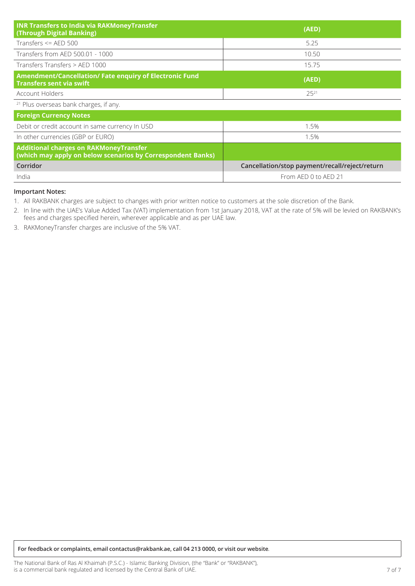| <b>INR Transfers to India via RAKMoneyTransfer</b><br>(Through Digital Banking)                              | (AED)                                          |
|--------------------------------------------------------------------------------------------------------------|------------------------------------------------|
| Transfers $\leq$ AED 500                                                                                     | 5.25                                           |
| Transfers from AED 500.01 - 1000                                                                             | 10.50                                          |
| Transfers Transfers > AED 1000                                                                               | 15.75                                          |
| Amendment/Cancellation/Fate enquiry of Electronic Fund<br><b>Transfers sent via swift</b>                    | (AED)                                          |
| Account Holders                                                                                              | $25^{21}$                                      |
| <sup>21</sup> Plus overseas bank charges, if any.                                                            |                                                |
| <b>Foreign Currency Notes</b>                                                                                |                                                |
| Debit or credit account in same currency In USD                                                              | 1.5%                                           |
| In other currencies (GBP or EURO)                                                                            | 1.5%                                           |
| <b>Additional charges on RAKMoneyTransfer</b><br>(which may apply on below scenarios by Correspondent Banks) |                                                |
| Corridor                                                                                                     | Cancellation/stop payment/recall/reject/return |
| India                                                                                                        | From AED 0 to AED 21                           |

#### **Important Notes:**

1. All RAKBANK charges are subject to changes with prior written notice to customers at the sole discretion of the Bank.

2. In line with the UAE's Value Added Tax (VAT) implementation from 1st January 2018, VAT at the rate of 5% will be levied on RAKBANK's the contract of the charge charges of the charges of the charges specified herein, wherever applicable and as per UAE law.

3. RAKMoneyTransfer charges are inclusive of the 5% VAT.

*for feedback or complaints, email contactus@rakbank.ae, call 04 213 0000, or visit our website.*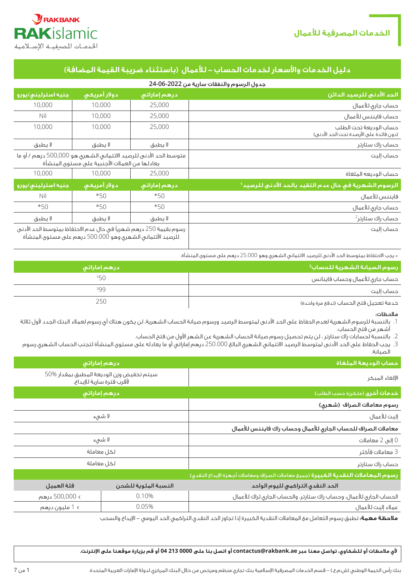



# **دليل الخدمات واألسعار لخدمات الحساب - لألعمال )باستثناء ضريبة القيمة المضافة(**

|                                                                                                                                 |              |              | جدول الرسوم والنفقات سارية من 2022-06-24                          |
|---------------------------------------------------------------------------------------------------------------------------------|--------------|--------------|-------------------------------------------------------------------|
| جنيه استرليني/يورو                                                                                                              | دولار أمريكى | درهم إماراتي | الحد الأدني للرصيد الدائن                                         |
| 10,000                                                                                                                          | 10,000       | 25,000       | حساب جارى للأعمال                                                 |
| Nil                                                                                                                             | 10,000       | 25,000       | حساب فايننس للأعمال                                               |
| 10,000                                                                                                                          | 10,000       | 25,000       | حساب الوديعة تحت الطلب<br>(دون فائدة على الأرصدة تحت الحد الأدنى) |
| لا يطبق                                                                                                                         | لا يطبق      | لا يطبق      | حساب راك ستارتر                                                   |
| متوسط الحد الأدنى للرصيد الائتماني الشهري هو 500,000 درهم / أو ما<br>يعادلها من العملات الأجنبية على مستوى المنشأة              |              |              | حساب إليت                                                         |
| 10,000                                                                                                                          | 10,000       | 25,000       | حساب الوديعه الملغاة                                              |
| جنيه استرليني/يورو                                                                                                              | دولار أمريكى | درهم إماراتي | الرسوم الشهرية في حال عدم التقيد بالحد الأدني للرصيد <sup>1</sup> |
| Nil                                                                                                                             | $*50$        | $*50$        | فايننس للأعمال                                                    |
| $*50$                                                                                                                           | $*50$        | $*50$        | حساب جارى للأعمال                                                 |
| لا يطبق                                                                                                                         | لا يطبق      | لا يطبق      | حساب راك ستارتر <sup>2</sup>                                      |
| رسوم بقيمة 250 درهم شهرياً في حال عدم الاحتفاظ بمتوسط الحد الأدنى<br>للرصيد الأئتمانى الشهرى وهو 500.000 درهم على مستوى المنشأة |              |              | حساب إليت                                                         |

\* يجب االحتفاظ بمتوسط الحد األدنى للرصيد االئتماني الشهري وهو 25.000 درهم على مستوى المنشأة.

| ر سوم الصيانة الشهرية للحساب <sup>2</sup> أ | درهم إماراتى |
|---------------------------------------------|--------------|
| حساب جارى للأعمال وحساب فاينانس             | 350          |
| حساب إليت                                   | 399          |
| خدمة تعجيل فتح الحساب (تدفع مرة واحدة)      | 250          |

مالحظات:

- .1 بالنسبة للرسوم الشهرية لعدم الحفاظ على الحد األدنى لمتوسط الرصيد ورسوم صيانة الحساب الشهرية، لن يكون هناك أي رسوم لعمالء البنك الجدد ألول ثالثة أشهر من فتح الحساب.
	- .2 بالنسبة لحسابات راك ستارتر ، لن يتم تحصيل رسوم صيانة الحساب الشهرية عن الشهر األول من فتح الحساب.
- .3 يجب الحفاظ على الحد األدنى لمتوسط الرصيد االئتماني الشهري البالغ 250.000 درهم إماراتي أو ما يعادله على مستوى المنشأة لتجنب الحساب الشهري رسوم الصيانة.

| حساب الوديعة الملغاة                                                                                                                                             | درهم إماراتي                                                                                                                                                            |  |  |
|------------------------------------------------------------------------------------------------------------------------------------------------------------------|-------------------------------------------------------------------------------------------------------------------------------------------------------------------------|--|--|
| الإلغاء المبكر                                                                                                                                                   | سيتم تخفيض وزن الوديعة المطبق بمقدار %50<br>لأقرب فترة سارية للإيداع.                                                                                                   |  |  |
| <b>خدمات أخرى</b> (متكررة حسب الطلب)                                                                                                                             | درهم إماراتي                                                                                                                                                            |  |  |
| رسوم معاملات الصراف (شهرى)                                                                                                                                       |                                                                                                                                                                         |  |  |
| إليت للأعمال                                                                                                                                                     | لا شىء                                                                                                                                                                  |  |  |
| معاملات الصراف للحساب الجارى للأعمال وحساب راك فايننس للأعمال                                                                                                    |                                                                                                                                                                         |  |  |
| 0 إلى 2 معاملات                                                                                                                                                  | لا شىء                                                                                                                                                                  |  |  |
| 3 معاملات فأكثر                                                                                                                                                  | لكل معاملة                                                                                                                                                              |  |  |
| حساب راك ستارتر                                                                                                                                                  | لكل معاملة                                                                                                                                                              |  |  |
| رسوم المعاملات النقدية الكبيرة (جميع معاملات الصراف ومعاملات أجهزة الإيداع النقدى)                                                                               |                                                                                                                                                                         |  |  |
| $\mathbf{I} = \mathbf{I} + \mathbf{II}$ and $\mathbf{I} = \mathbf{I} + \mathbf{II}$ and $\mathbf{I} = \mathbf{II} + \mathbf{II}$ and $\mathbf{II} = \mathbf{II}$ | $1 - 1125$<br>$\frac{1}{2}$ $\frac{1}{2}$ $\frac{1}{2}$ $\frac{1}{2}$ $\frac{1}{2}$ $\frac{1}{2}$ $\frac{1}{2}$ $\frac{1}{2}$ $\frac{1}{2}$ $\frac{1}{2}$ $\frac{1}{2}$ |  |  |

| الحد النقدق التراكمي لليوم الواحد                                    | النسبة المئوية للشحن | افئة العميل    |
|----------------------------------------------------------------------|----------------------|----------------|
| الحساب الجارى للأعمال، وحساب راك ستارتر، والحساب الجارى لراك للأعمال | 0.10%                | > 500,000 درهم |
| عملاء إليت للأعمال                                                   | 0.05%                | > 1 مليون درهم |

**مالحظة مهمة:** تطبق رسوم التعامل مع المعامالت النقدية الكبيرة إذا تجاوز الحد النقدي التراكمي الحد اليومي - اإليداع والسحب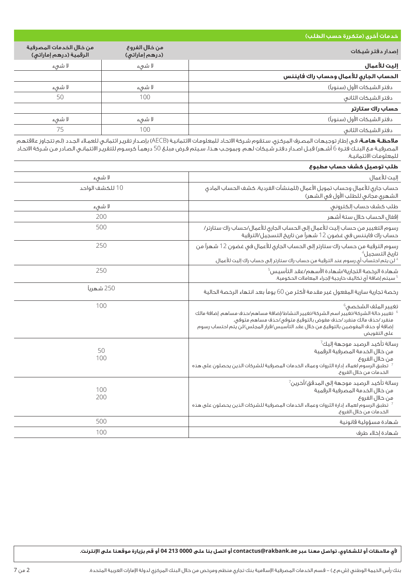| خدمات أخرى (متكررة حسب الطلب)                                                                                                                                                                                                                                   |                                  |                                                    |
|-----------------------------------------------------------------------------------------------------------------------------------------------------------------------------------------------------------------------------------------------------------------|----------------------------------|----------------------------------------------------|
| إصدار دفتر شيكات                                                                                                                                                                                                                                                | من خلال الفروع<br>(درهم إماراتی) | من خلال الخدمات المصرفية<br>الرقمية (درهم إماراتي) |
| إليت للأعمال                                                                                                                                                                                                                                                    | لا شىء                           | لا شىء                                             |
| الحساب الجاري للأعمال وحساب راك فايننس                                                                                                                                                                                                                          |                                  |                                                    |
| دفتر الشيكات الأول (سنوياً)                                                                                                                                                                                                                                     | لا شىء                           | لا شىء                                             |
| دفتر الشيكات الثانى                                                                                                                                                                                                                                             | 100                              | 50                                                 |
| حساب راك ستارتر                                                                                                                                                                                                                                                 |                                  |                                                    |
| دفتر الشيكات الأول (سنوياً)                                                                                                                                                                                                                                     | لا شىء                           | لا شىء                                             |
| دفتر الشيكات الثانى                                                                                                                                                                                                                                             | 100                              | 75                                                 |
| <b>ملاحظة هامة</b> ؛ في إطار توجيهات المصرف المركزي، ستقوم شركة الاتحاد للمعلومات الائتمانية (AECB) بإصدار تقرير ائتماني للعملاء الجدد (لم تتجاوز علاقتهم<br>المصرفية مع البنـك فتـرة 6 أشهر) قبـل اصـدار دفتـر شـيكات لهم. وبموجب هـذ<br>للمعلومات الائتمانية. |                                  |                                                    |
| المالين وتمميز التفيش فتنمس الروام والموا                                                                                                                                                                                                                       |                                  |                                                    |

| طلب توصيل كشف حساب مطبوع                                                                                                                                                                                                                                                                         |                 |
|--------------------------------------------------------------------------------------------------------------------------------------------------------------------------------------------------------------------------------------------------------------------------------------------------|-----------------|
| إليت للأعمال                                                                                                                                                                                                                                                                                     | لا شىء          |
| حساب جارى للأعمال وحساب تمويل الأعمال (للمنشآت الفردية، كشف الحساب المادى<br>الشهرى مجانى للطلب الأول فى الشهر)                                                                                                                                                                                  | 10 للكشف الواحد |
| طلب كشف حساب إلكترونى                                                                                                                                                                                                                                                                            | لا شىء          |
| إقفال الحساب خلال ستة أشهر                                                                                                                                                                                                                                                                       | 200             |
| رسوم التغيير من حساب إليت للأعمال إلى الحساب الجارى للأعمال/حساب راك ستارتر/<br>حساب راك فايننس فى غضون 12 شهراً من تاريخ التسجيل/الترقية                                                                                                                                                        | 500             |
| رسوم الترقية من حساب راك ستارتر إلى الحساب الجارى للأعمال فى غضون 12 شهراً من<br>تاريخ التسجيل <sup>4</sup><br><sup>4</sup> لن يتم احتساب أي رسوم عند الترقية من حساب راك ستارتر إلى حساب راك إليت للأعمال.                                                                                      | 250             |
| $^5$ شهادة الرخصة التجارية/شهادة الأسهم/عقد التأسيس $^5$<br>5 سيتم إضافة أى تكاليف خارجية لإجراء المعاملات الحكومية.                                                                                                                                                                             | 250             |
| رخصة تجارية سارية المفعول غير مقدمة لأكثر من 60 يوماً بعد انتهاء الرخصة الحالية                                                                                                                                                                                                                  | 250 شهرياً      |
| تغيير الملف الشخصى <sup>6</sup><br>تغيير حالة الشركة/تغيير اسم الشركة/تغيير النشاط/إضافة مساهم/حذف مساهم. إضافة مالك $^6$<br>منغرد /حذف مالك منغرد /حذف مفوض بالتوقيع متوفى/حذف مساهم متوفى.<br>إضافة أو حذف المفوضين بالتوقيع من خلال عقد التأسيس/قرار المجلس/لن يتم احتساب رسوم<br>على التغويض | 100             |
| رسالة تأكيد الرصيد موجهة إليك <sup>7</sup><br>من خلال الخدمة المصرفية الرقمية<br>من خلال الغروع<br><sup>7</sup> تطبق الرسوم لعملاء إدارة الثروات وعملاء الخدمات المصرفية للشركات الذين يحصلون على هذه<br>الخدمات من خلال الغروع.                                                                 | 50<br>100       |
| رسالة تأكيد الرصيد موجهة إلى المدقق/آخرين $\sqrt{ }$<br>من خلال الخدمة المصرفية الرقمية<br>من خلال الغروع<br>تطبق الرسوم لعملاء إدارة الثروات وعملاء الخدمات المصرفية للشركات الذين يحصلون على هذه $^7$<br>الخدمات من خلال الغروع.                                                               | 100<br>200      |
| شهادة مسؤولية قانونية                                                                                                                                                                                                                                                                            | 500             |
| شهادة إخلاء طرف                                                                                                                                                                                                                                                                                  | 100             |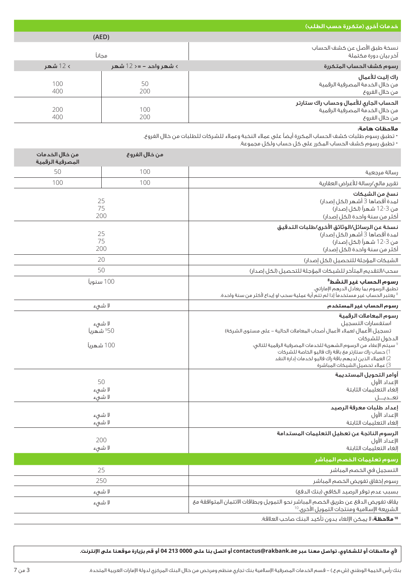| خدمات أخرى (متكررة حسب <u>الطلب)</u>                                                                                                                                                                                                                                                                                                                                          |                                                |                                     |  |  |
|-------------------------------------------------------------------------------------------------------------------------------------------------------------------------------------------------------------------------------------------------------------------------------------------------------------------------------------------------------------------------------|------------------------------------------------|-------------------------------------|--|--|
|                                                                                                                                                                                                                                                                                                                                                                               | (AED)                                          |                                     |  |  |
| نسخة طبق الأصل عن كشف الحساب<br>آخر بيان دورة مكتملة                                                                                                                                                                                                                                                                                                                          | مجانآ                                          |                                     |  |  |
| رسوم كشف الحساب المتكررة                                                                                                                                                                                                                                                                                                                                                      | > 12 شهر<br>> شهر واحد – =< 12 شهر             |                                     |  |  |
| راك إليت للأعمال<br>من خلال الخدمة المصرفية الرقمية<br>من خلال الغروع                                                                                                                                                                                                                                                                                                         | 50<br>200                                      | 100<br>400                          |  |  |
| الحساب الجارى للأعمال وحساب راك ستارتر<br>من خلال الخدمة المصرفية الرقمية<br>من خلال الغروع                                                                                                                                                                                                                                                                                   | 100<br>200                                     | 200<br>400                          |  |  |
| ملاحظات هامة:<br>• تطبق رسوم طلبات كشف الحساب المكررة أيضاً على عملاء النخبة وعملاء للشركات للطلبات من خلال الفروع.<br>• تطبق رسوم كشف الحساب المكرر على كل حساب ولكل مجموعة.                                                                                                                                                                                                 |                                                |                                     |  |  |
|                                                                                                                                                                                                                                                                                                                                                                               | من خلال الفروع                                 | من خلال الخدمات<br>المصرفية الرقمية |  |  |
| رسالة مرجعية                                                                                                                                                                                                                                                                                                                                                                  | 100                                            | 50                                  |  |  |
| تقرير مالى/رسالة للأغراض العقارية                                                                                                                                                                                                                                                                                                                                             | 100                                            | 100                                 |  |  |
| نسخ من الشيكات<br>لمدة أقصاها 3 أشهر (لكل إصدار)<br>من 3-12 شهراً (لكل إصدار)<br>أكثر من سنة واحدة (لكل إصدار)                                                                                                                                                                                                                                                                | 25<br>75<br>200                                |                                     |  |  |
| نسخة عن الرسائل/الوثائق الأخرى/طلبات التدقيق<br>لمدة أقصاها 3 أشهر (لكل إصدار)<br>من 3-12 شهراً (لكل إصدار)<br>أكثر من سنة واحدة (لكل إصدار)                                                                                                                                                                                                                                  | 25<br>75<br>200                                |                                     |  |  |
| الشيكات المؤجلة للتحصيل (لكل إصدار)                                                                                                                                                                                                                                                                                                                                           | 20                                             |                                     |  |  |
| سحب/التقديم المتأخر للشيكات المؤجلة للتحصيل (لكل إصدار)                                                                                                                                                                                                                                                                                                                       | 50                                             |                                     |  |  |
| رسوم الحساب غير النشط <sup>8</sup><br>تطبق الرسوم بما يعادل الدرهم الإماراتي.<br><sup>8</sup> يعتبر الحساب غير مستخدماً إذا لم تتمّ أية عملية سحب او إيداع لأكثر من سنة واحدة.                                                                                                                                                                                                | 100 سنوياً                                     |                                     |  |  |
| رسوم الحساب غير المستخدم                                                                                                                                                                                                                                                                                                                                                      | لا شىء                                         |                                     |  |  |
| رسوم المعاملات الرقمية<br>استغسارات التسجيل<br>تسجيل الأعمال لعملاء الأعمال أصحاب المعاملات الحالية – على مستوى الشركة)<br>الدخول للشركات<br>$^{\circ}$ سيتم الإعفاء من الرسوم الشهرية للخدمات المصرفية الرقمية للتالى:<br>1) حساب راك ستارتر مع باقة راك فاليو الخاصة للشركات<br>2) العملاء الذين لديهم باقة راك فاليو لخدمات إدارة النقد<br>3) عملاء تحصيل الشيكات المباشرة | لا شىء<br><sup>9</sup> 50 شهرياً<br>100 شهرياً |                                     |  |  |
| أوامر التحويل المستديمة<br>الإعداد الأول<br>إلغاء التعليمات الثابتة<br>تعــديـــل                                                                                                                                                                                                                                                                                             | 50<br>لا شىء<br>لا شىء                         |                                     |  |  |
| إعداد طلبات معرفة الرصيد<br>الإعداد الأول<br>إلغاء التعليمات الثابتة                                                                                                                                                                                                                                                                                                          | لا شىء<br>لا شىء                               |                                     |  |  |
| الرسوم الناتجة عن تعطيل التعليمات المستدامة<br>الإعداد الأول<br>إلغاء التعليمات الثابتة                                                                                                                                                                                                                                                                                       | 200<br>لا شىء                                  |                                     |  |  |
| رسوم تعليمات الخصم المباشر                                                                                                                                                                                                                                                                                                                                                    |                                                |                                     |  |  |
| التسجيل فى الخصم المباشر                                                                                                                                                                                                                                                                                                                                                      | 25                                             |                                     |  |  |
| رسوم إخفاق تفويض الخصم المباشر                                                                                                                                                                                                                                                                                                                                                | 250                                            |                                     |  |  |
| بسبب عدم توفر الرصيد الكافى (بنك الدفع)                                                                                                                                                                                                                                                                                                                                       | لا شىء                                         |                                     |  |  |
| يقاف تفويض الدفع عن طريق الخصم المباشر نحو التمويل وبطاقات الائتمان المتوافقة مع<br>الشريعة الإسلامية ومنتجات التمويل الأخرى.10                                                                                                                                                                                                                                               | لا شىء                                         |                                     |  |  |
| 1 <b>0 ملاحظة:</b> لا يمكن الإلغاء بدون تأكيد البنك صاحب العلاقة.                                                                                                                                                                                                                                                                                                             |                                                |                                     |  |  |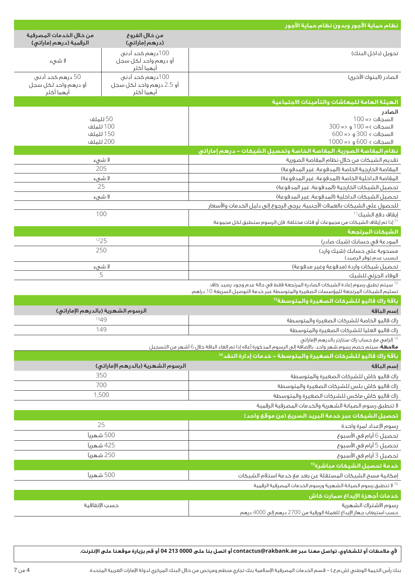|                                                        |                                                            | نظام حماية الأجور وبدون نظام حماية الأجور                                                                                                                                    |  |
|--------------------------------------------------------|------------------------------------------------------------|------------------------------------------------------------------------------------------------------------------------------------------------------------------------------|--|
| من خلال الخدمات المصرفية<br>الرقمية (درهم إماراتي)     | من خلال الفروع<br>(درهم إماراتی)                           |                                                                                                                                                                              |  |
| لا شىء                                                 | 100درهم كحد أدني<br>أو درهم واحد لكل سجل<br>أيهما أكثر     | تحويل (داخل البنك)                                                                                                                                                           |  |
| 50 درهم کحد أدني<br>أو درهم واحد لكل سجل<br>أيهما أكثر | 100درهم كحد أدني<br>أو 2.5 درهم واحد لكل سجل<br>أيهما أكثر | الصادر (البنوك الأخرى)                                                                                                                                                       |  |
|                                                        |                                                            | الهيئة العامة للمعاشات والتأمينات الاجتماعية                                                                                                                                 |  |
|                                                        |                                                            | الصادر                                                                                                                                                                       |  |
| 50 للملف<br>100 للملف<br>150 للملف<br>200 للملف        |                                                            | $100 = \sqrt{2}$ السجلات<br>السجلات >= 100 و <= 300<br>السجلات > 300 و <= 600<br>السجلات > 600 و <= 1000                                                                     |  |
|                                                        |                                                            | نظام المقاصة الصورية، المقاصة الخاصة وتحصيل الشيكات – درهم إماراتي                                                                                                           |  |
| 205                                                    | لا شىء                                                     | تقديم الشيكات من خلال نظام المقاصة الصورية<br>المقاصة الخارجية الخاصة (المدفوعة، غير المدفوعة)                                                                               |  |
| لا شىء                                                 |                                                            | المقاصة الداخلية الخاصة (المدفوعة، غير المدفوعة)                                                                                                                             |  |
| 25                                                     |                                                            | تحصيل الشيكات الخارجية (المدفوعة، غير المدفوعة)                                                                                                                              |  |
| لا شىء                                                 |                                                            | تحصيل الشيكات الداخلية (المدفوعة، غير المدفوعة)<br>للحصول على الشيكات بالعملات الأجنبية، يرجى الرجوع إلى دليل الخدمات والأسعار                                               |  |
| 100                                                    |                                                            | إيقاف دفع الشيك <sup>11</sup>                                                                                                                                                |  |
|                                                        |                                                            | <sup>11</sup> إذا تم إيقاف الشيكات من مجموعات أو فئات مختلفة، فإن الرسوم ستطبق لكل مجموعة.                                                                                   |  |
|                                                        |                                                            | الشيكات المرتجعة                                                                                                                                                             |  |
| 1225                                                   |                                                            | المودعة فى حسابك (شيك صادر)                                                                                                                                                  |  |
| 250                                                    |                                                            | مسحوبة على حسابك (شيك وارد)<br>(بسبب عدم توفر الرصيد)                                                                                                                        |  |
| لا شىء                                                 |                                                            | تحصيل شيكات واردة (مدفوعة وغير مدفوعة)                                                                                                                                       |  |
|                                                        | 5                                                          | الوفاء الجزئى للشيك                                                                                                                                                          |  |
|                                                        |                                                            | سيتم تطبق رسوم إعادة الشيكات الصادرة المرتجعة فقط فى حالة عدم وجود رصيد كاف. $^{12}$<br>تسليم الشيكات المرتجعة للمؤسسات الصغيرة والمتوسطة عبر خدمة التوصيل السريعة 10 دراهم. |  |
|                                                        |                                                            | باقة راك فاليو للشركات الصغيرة والمتوسطة <sup>13</sup>                                                                                                                       |  |
| الرسوم الشهرية (بالدرهم الإماراتي)                     |                                                            | إسم الباقة                                                                                                                                                                   |  |
| 1349                                                   |                                                            | راك فاليو الخاصة للشركات الصغيرة والمتوسطة                                                                                                                                   |  |
| 149                                                    |                                                            | راك فاليو العليا للشركات الصغيرة والمتوسطة                                                                                                                                   |  |
|                                                        |                                                            | إلزامي مع حساب راك ستارتر بالدرهم الإماراتي $^{13}$<br><b>ملاحظة</b> ؛ سيتم خصم رسوم شهر واحد، بالإضافة إلى الرسوم المذكورة أعلاه إذا تم إلغاء الباقة خلال 6 أشهر من التسجيل |  |
|                                                        |                                                            | باقة راك فاليو للشركات الصغيرة والمتوسطة – خدمات إدارة النقد <sup>14</sup>                                                                                                   |  |
|                                                        | الرسوم الشهرية (بالدرهم الإماراتي)                         | إسم الباقة                                                                                                                                                                   |  |
| 350                                                    |                                                            | راك فاليو كاش للشركات الصغيرة والمتوسطة                                                                                                                                      |  |
| 700                                                    |                                                            | راك فاليو كاش بلس للشركات الصغيرة والمتوسطة                                                                                                                                  |  |
|                                                        | 1,500                                                      | راك فاليو كاش ماكس للشركات الصغيرة والمتوسطة                                                                                                                                 |  |
|                                                        |                                                            | لا تنطبق رسوم الصيانة الشهرية والخدمات المصرفية الرقمية                                                                                                                      |  |
|                                                        | 25                                                         | تحصيل الشيكات عبر خدمة البريد السريع (من موقع واحد)                                                                                                                          |  |
|                                                        |                                                            | رسوم الإعداد لمرة واحدة                                                                                                                                                      |  |
| 500 شهرياً                                             | 425 شهريآ                                                  | تحصيل 6 أيام فى الأسبوع                                                                                                                                                      |  |
| 250 شهريآ                                              |                                                            | تحصيل 5 أيام فى الأسبوع                                                                                                                                                      |  |
|                                                        |                                                            | تحصيل 3 أيام في الأسبوع<br>خدمة تحصيل الشيكات مباشرة <sup>15</sup>                                                                                                           |  |
| 500 شهريآ                                              |                                                            |                                                                                                                                                                              |  |
|                                                        |                                                            | إمكانية مسح الشيكات المستقلة عن بعد مع خدمة استلام الشيكات<br><sup>15</sup> لا تنطبق رسوم الصيانة الشهرية ورسوم الخدمات المصرفية الرقمية                                     |  |
|                                                        |                                                            |                                                                                                                                                                              |  |
|                                                        |                                                            | خدمات أجهزة الإيداع سمارت كاش                                                                                                                                                |  |
| حسب الإتفاقية                                          |                                                            | رسوم الاشتراك الشهرية<br>حسب استيعاب جهاز الإيداع للعملة الورقية من 2700 درهم إلى 4000 درهم                                                                                  |  |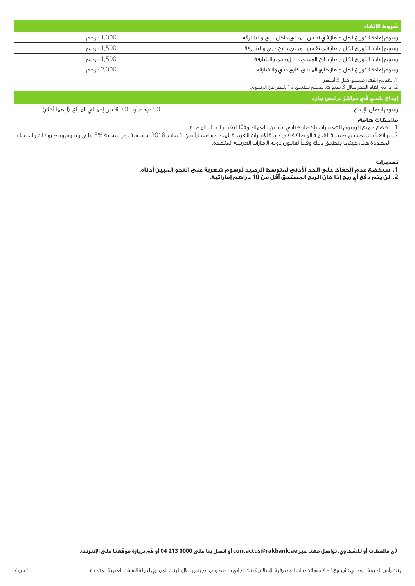| شروط الإلغاء                                                |            |
|-------------------------------------------------------------|------------|
| رسوم إعادة التوزيع لكل جهاز فى نفس المبنى داخل دبى والشارقة | 1,000 درهم |
| رسوم إعادة التوزيع لكل جهاز فى نفس المبنى خارج دبى والشارقة | 1,500 درهم |
| رسوم إعادة التوزيع لكل جهاز خارج المبنى داخل دبى والشارقة   | 1,500 درهم |
| رسوم إعادة التوزيع لكل جهاز خارج المبنى خارج دبى والشارقة   | 2,000 درهم |
|                                                             |            |

.1 تقديم إشعار مسبق قبل 3 أشهر. .2 اذا تم إلغاء الحجز خالل 3 سنوات، سيتم تطبيق 12 شهر من الرسوم.

### **إيداع نقدي في مراكز ترانس جارد**

| $\sim$ $\sim$<br>$-$ % $0.1$<br>باڭ در ھەر او "<br>الہ۔<br>(انتصام ا<br>، ۱۱ م۱۱ م. | - 111<br>ഹറ |
|-------------------------------------------------------------------------------------|-------------|
|                                                                                     |             |

## **مالحظات هامة:**

.1 ً تخضع جميع الرسوم للتغييرات بإخطار كتابي مسبق للعمالء وفقا لتقدير البنك المطلق.

.2 توافقـً مـع تطبيـق ضريبـة القيمـة المضافـة فـي دولـة اإلمـارات العربيـة المتحـدة اعتبـارًا مـن 1 ينايـر 2018 سـيتم فـرض نسـبة 5% علـى رسـوم ومصروفـات راك بنـك المحـددة هنـا، حيثمـا ينطبـق ذلـك وفقـً لقانـون دولـة اإلمـارات العربيـة المتحـدة.

#### **تحذيرات**

- **.1 سيخضع عدم الحفاظ على الحد األدنى لمتوسط الرصيد لرسوم شهرية على النحو المبين أدناه.** 
	- **.2 لن يتم دفع أي ربح إذا كان الربح المستحق أقل من 10 دراهم إماراتية.**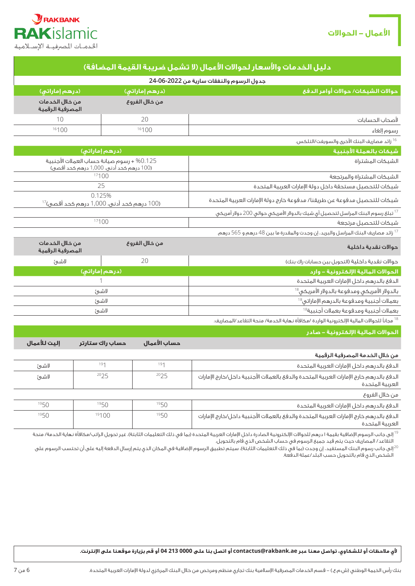

| احدمات المصارفيته الإستادمية                                                          |                  |                |                                                                                                            |
|---------------------------------------------------------------------------------------|------------------|----------------|------------------------------------------------------------------------------------------------------------|
|                                                                                       |                  |                | دليل الخدمات والأسعار لحوالات الأعمال (لا تشمل ضريبة القيمة المضافة)                                       |
|                                                                                       |                  |                | جدول الرسوم والنفقات سارية من 2022-06-24                                                                   |
| (درهم إماراتی)                                                                        |                  | (درهم إماراتي) | حوالات الشيكات/ حوالات أوامر الدفع                                                                         |
| من خلال الخدمات<br>المصرفية الرقمية                                                   |                  | من خلال الفروع |                                                                                                            |
| 10                                                                                    |                  | 20             | لأصحاب الحسابات                                                                                            |
| 16100                                                                                 |                  | 16100          | رسوم إلغاء                                                                                                 |
|                                                                                       |                  |                | <sup>16</sup> زائد مصاريف البنك الأخرى والسويغت/التلكس.                                                    |
|                                                                                       | (درهم إماراتی)   |                | شبكات بالعملة الأجنبية                                                                                     |
| 0.125% + رسوم صيانة حساب العملات الأجنبية<br>(100 درهم كحد أدني، 1,000 درهم كحد أقصى) |                  |                | الشيكات المشتراة                                                                                           |
|                                                                                       | 17100            |                | الشيكات المشتراة والمرتجعة                                                                                 |
| 25                                                                                    |                  |                | شيكات للتحصيل مستحقة داخل دولة الإمارات العربية المتحدة                                                    |
| 0.125%<br>(100 درهم كحد أدنى، 1,000 درهم كحد أقصى) <sup>17</sup>                      |                  |                | شيكات للتحصيل مدفوعة عن طريقنا/ مدفوعة خارج دولة الإمارات العربية المتحدة                                  |
|                                                                                       |                  |                | <sup>17</sup> تبلغ رسوم البنك المراسل لتحصيل أى شيك بالدولار الأمريكى حوالى 200 دولار أمريكى               |
| 17100                                                                                 |                  |                | شيكات للتحصيل مرتجعة                                                                                       |
|                                                                                       |                  |                | <sup>17</sup> زائد مصاريف البنك المراسل والبريد، إن وجدت والمقدرة ما بين 48 درهم و 565 درهم.               |
| من خلال الخدمات<br>من خلال الفروع<br>المصرفية الرقمية                                 |                  |                | حوالات نقدية داخلية                                                                                        |
| لاشئ                                                                                  |                  | 20             | حوالات نقدية داخلية (التحويل بين حسابات راك بنك)                                                           |
| (درهم إماراتی)                                                                        |                  |                | الحوالات المالية الإلكترونية – وارد                                                                        |
|                                                                                       |                  |                | الدفع بالدرهم داخل الإمارات العربية المتحدة                                                                |
|                                                                                       | لاشئ             |                | بالدولار الأمريكى ومدفوعة بالدولار الأمريكي $^{8}$                                                         |
|                                                                                       | لاشئ             |                | بعملات أجنبية ومدفوعة بالدرهم الإماراتي $^{8}$                                                             |
|                                                                                       | لاشئ             |                | بعملات أجنبية ومدفوعة بعملات أجنبية $^{81}$                                                                |
|                                                                                       |                  |                | <sup>18</sup> مجاناً للحوالات المالية الإلكترونية الواردة /مكافأة نهاية الخدمة/ منحة التقاعد/المصاريف.     |
|                                                                                       |                  |                | الحوالات المالية الإلكترونية – صادر                                                                        |
| إليت للأعمال                                                                          | حساب راك ستارتر  | حساب الأعمال   |                                                                                                            |
|                                                                                       |                  |                | من خلال الخدمة المصرفية الرقمية                                                                            |
| لاشئ                                                                                  | 191              | 191            | الدفع بالدرهم داخل الإمارات العربية المتحدة                                                                |
| لاشئ                                                                                  | 2025             | 2025           | الدفئ بالدرهم خارج الإمارات العربية المتحدة والدفئ بالعملات الأجنبية داخل/خارج الإمارات<br>العربية المتحدة |
|                                                                                       |                  |                | من خلال الغروع                                                                                             |
| $10F \Omega$                                                                          | 10F <sub>0</sub> | $10-0$         |                                                                                                            |

| الدفع بالدرهم داخل الإمارات العربية المتحدة                                                                | 1950 | 1950  | 1950 |
|------------------------------------------------------------------------------------------------------------|------|-------|------|
| الدفع بالدرهم خارج الإمارات العربية المتحدة والدفع بالعملات الأجنبية داخل/خارج الإمارات<br>العربية المتحدة | 1950 | 19100 | 1950 |

أ إلى جانب الرسوم الإضافية بقيمة ا درهم للحوالات الإلكترونية الصادرة داخل الإمارات العربية المتحدة (بما في ذلك التعليمات الثابتة)، غير تحويل الراتب/مكافأة نهاية الخدمة/ منحة التقاعد/ المصاريف حيث يتم قيد جميع الرسوم في حساب الشخص الذي قام بالتحويل.

ي الى جانب رسوم البنك المستفيد، إن وجدت (بما في ذلك التعليمات الثابتة)، سيتم تطبيق الرسوم الإضافية في المكان الذي يتم إرسال الدفعة إليه على أن تحتسب الرسوم على $^{20}$ الشخص الذي قام بالتحويل حسب البلد/عملة الدفعة.